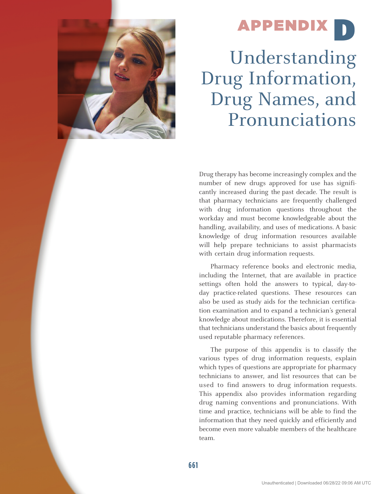

# **APPENDIX**

# **Understanding Drug Information, Drug Names, and Pronunciations**

Drug therapy has become increasingly complex and the number of new drugs approved for use has significantly increased during the past decade. The result is that pharmacy technicians are frequently challenged with drug information questions throughout the workday and must become knowledgeable about the handling, availability, and uses of medications. A basic knowledge of drug information resources available will help prepare technicians to assist pharmacists with certain drug information requests.

Pharmacy reference books and electronic media, including the Internet, that are available in practice settings often hold the answers to typical, day-today practice-related questions. These resources can also be used as study aids for the technician certification examination and to expand a technician's general knowledge about medications. Therefore, it is essential that technicians understand the basics about frequently used reputable pharmacy references.

The purpose of this appendix is to classify the various types of drug information requests, explain which types of questions are appropriate for pharmacy technicians to answer, and list resources that can be used to find answers to drug information requests. This appendix also provides information regarding drug naming conventions and pronunciations. With time and practice, technicians will be able to find the information that they need quickly and efficiently and become even more valuable members of the healthcare team.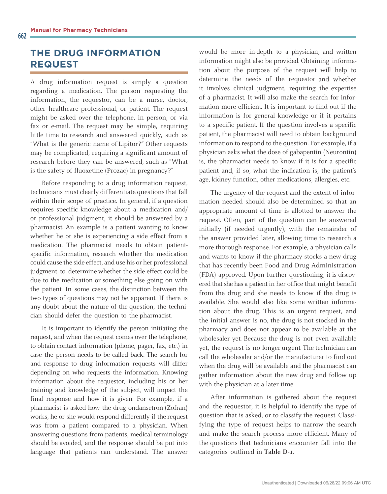## **THE DRUG INFORMATION REQUEST**

A drug information request is simply a question regarding a medication. The person requesting the information, the requestor, can be a nurse, doctor, other healthcare professional, or patient. The request might be asked over the telephone, in person, or via fax or e-mail. The request may be simple, requiring little time to research and answered quickly, such as "What is the generic name of Lipitor?" Other requests may be complicated, requiring a significant amount of research before they can be answered, such as "What is the safety of fluoxetine (Prozac) in pregnancy?"

Before responding to a drug information request, technicians must clearly differentiate questions that fall within their scope of practice. In general, if a question requires specific knowledge about a medication and/ or professional judgment, it should be answered by a pharmacist. An example is a patient wanting to know whether he or she is experiencing a side effect from a medication. The pharmacist needs to obtain patientspecific information, research whether the medication could cause the side effect, and use his or her professional judgment to determine whether the side effect could be due to the medication or something else going on with the patient. In some cases, the distinction between the two types of questions may not be apparent. If there is any doubt about the nature of the question, the technician should defer the question to the pharmacist.

It is important to identify the person initiating the request, and when the request comes over the telephone, to obtain contact information (phone, pager, fax, etc.) in case the person needs to be called back. The search for and response to drug information requests will differ depending on who requests the information. Knowing information about the requestor, including his or her training and knowledge of the subject, will impact the final response and how it is given. For example, if a pharmacist is asked how the drug ondansetron (Zofran) works, he or she would respond differently if the request was from a patient compared to a physician. When answering questions from patients, medical terminology should be avoided, and the response should be put into language that patients can understand. The answer

would be more in-depth to a physician, and written information might also be provided. Obtaining information about the purpose of the request will help to determine the needs of the requestor and whether it involves clinical judgment, requiring the expertise of a pharmacist. It will also make the search for information more efficient. It is important to find out if the information is for general knowledge or if it pertains to a specific patient. If the question involves a specific patient, the pharmacist will need to obtain background information to respond to the question. For example, if a physician asks what the dose of gabapentin (Neurontin) is, the pharmacist needs to know if it is for a specific patient and, if so, what the indication is, the patient's age, kidney function, other medications, allergies, etc.

The urgency of the request and the extent of information needed should also be determined so that an appropriate amount of time is allotted to answer the request. Often, part of the question can be answered initially (if needed urgently), with the remainder of the answer provided later, allowing time to research a more thorough response. For example, a physician calls and wants to know if the pharmacy stocks a new drug that has recently been Food and Drug Administration (FDA) approved. Upon further questioning, it is discovered that she has a patient in her office that might benefit from the drug and she needs to know if the drug is available. She would also like some written information about the drug. This is an urgent request, and the initial answer is no, the drug is not stocked in the pharmacy and does not appear to be available at the wholesaler yet. Because the drug is not even available yet, the request is no longer urgent. The technician can call the wholesaler and/or the manufacturer to find out when the drug will be available and the pharmacist can gather information about the new drug and follow up with the physician at a later time.

After information is gathered about the request and the requestor, it is helpful to identify the type of question that is asked, or to classify the request. Classifying the type of request helps to narrow the search and make the search process more efficient. Many of the questions that technicians encounter fall into the categories outlined in **Table D-1**.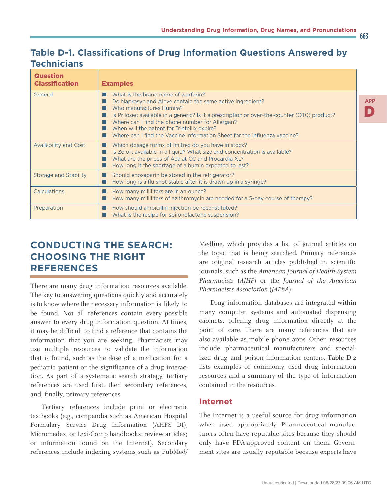## **Table D-1. Classifications of Drug Information Questions Answered by Technicians**

| <b>Question</b><br><b>Classification</b> | <b>Examples</b>                                                                                                                                                                                                                                                                                                                                                                                            |
|------------------------------------------|------------------------------------------------------------------------------------------------------------------------------------------------------------------------------------------------------------------------------------------------------------------------------------------------------------------------------------------------------------------------------------------------------------|
| General                                  | What is the brand name of warfarin?<br>Do Naprosyn and Aleve contain the same active ingredient?<br>Who manufactures Humira?<br>Is Prilosec available in a generic? Is it a prescription or over-the-counter (OTC) product?<br>Where can I find the phone number for Allergan?<br>When will the patent for Trintellix expire?<br>Where can I find the Vaccine Information Sheet for the influenza vaccine? |
| <b>Availability and Cost</b>             | Which dosage forms of Imitrex do you have in stock?<br>Is Zoloft available in a liquid? What size and concentration is available?<br>What are the prices of Adalat CC and Procardia XL?<br>How long it the shortage of albumin expected to last?                                                                                                                                                           |
| Storage and Stability                    | Should enoxaparin be stored in the refrigerator?<br>How long is a flu shot stable after it is drawn up in a syringe?                                                                                                                                                                                                                                                                                       |
| Calculations                             | How many milliliters are in an ounce?<br>How many milliliters of azithromycin are needed for a 5-day course of therapy?                                                                                                                                                                                                                                                                                    |
| Preparation                              | How should ampicillin injection be reconstituted?<br>What is the recipe for spironolactone suspension?                                                                                                                                                                                                                                                                                                     |

## **CONDUCTING THE SEARCH: CHOOSING THE RIGHT REFERENCES**

There are many drug information resources available. The key to answering questions quickly and accurately is to know where the necessary information is likely to be found. Not all references contain every possible answer to every drug information question. At times, it may be difficult to find a reference that contains the information that you are seeking. Pharmacists may use multiple resources to validate the information that is found, such as the dose of a medication for a pediatric patient or the significance of a drug interaction. As part of a systematic search strategy, tertiary references are used first, then secondary references, and, finally, primary references

Tertiary references include print or electronic textbooks (e.g., compendia such as American Hospital Formulary Service Drug Information (AHFS DI), Micromedex, or Lexi-Comp handbooks; review articles; or information found on the Internet). Secondary references include indexing systems such as PubMed/

Medline, which provides a list of journal articles on the topic that is being searched. Primary references are original research articles published in scientific journals, such as the *American Journal of Health-System Pharmacists* (*AJHP*) or the *Journal of the American Pharmacists Association* (*JAPhA*).

Drug information databases are integrated within many computer systems and automated dispensing cabinets, offering drug information directly at the point of care. There are many references that are also available as mobile phone apps. Other resources include pharmaceutical manufacturers and specialized drug and poison information centers. **Table D-2** lists examples of commonly used drug information resources and a summary of the type of information contained in the resources.

#### **Internet**

The Internet is a useful source for drug information when used appropriately. Pharmaceutical manufacturers often have reputable sites because they should only have FDA-approved content on them. Government sites are usually reputable because experts have

**663**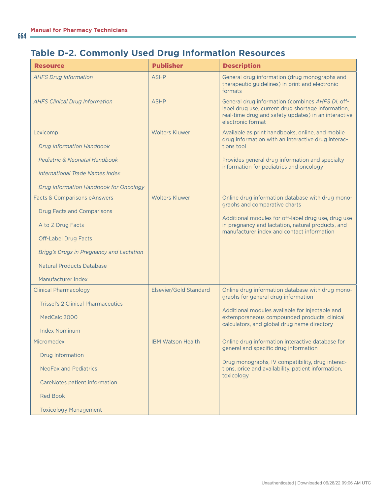# **Table D-2. Commonly Used Drug Information Resources**

| <b>Resource</b>                                                         | <b>Publisher</b>         | <b>Description</b>                                                                                                                                                                  |
|-------------------------------------------------------------------------|--------------------------|-------------------------------------------------------------------------------------------------------------------------------------------------------------------------------------|
| <b>AHFS Drug Information</b>                                            | <b>ASHP</b>              | General drug information (drug monographs and<br>therapeutic guidelines) in print and electronic<br>formats                                                                         |
| <b>AHFS Clinical Drug Information</b>                                   | <b>ASHP</b>              | General drug information (combines AHFS DI, off-<br>label drug use, current drug shortage information,<br>real-time drug and safety updates) in an interactive<br>electronic format |
| Lexicomp<br><b>Drug Information Handbook</b>                            | <b>Wolters Kluwer</b>    | Available as print handbooks, online, and mobile<br>drug information with an interactive drug interac-<br>tions tool                                                                |
| Pediatric & Neonatal Handbook<br><b>International Trade Names Index</b> |                          | Provides general drug information and specialty<br>information for pediatrics and oncology                                                                                          |
| Drug Information Handbook for Oncology                                  |                          |                                                                                                                                                                                     |
| <b>Facts &amp; Comparisons eAnswers</b>                                 | <b>Wolters Kluwer</b>    | Online drug information database with drug mono-<br>graphs and comparative charts                                                                                                   |
| <b>Drug Facts and Comparisons</b>                                       |                          |                                                                                                                                                                                     |
| A to Z Drug Facts                                                       |                          | Additional modules for off-label drug use, drug use<br>in pregnancy and lactation, natural products, and<br>manufacturer index and contact information                              |
| <b>Off-Label Drug Facts</b>                                             |                          |                                                                                                                                                                                     |
| <b>Brigg's Drugs in Pregnancy and Lactation</b>                         |                          |                                                                                                                                                                                     |
| <b>Natural Products Database</b>                                        |                          |                                                                                                                                                                                     |
| Manufacturer Index                                                      |                          |                                                                                                                                                                                     |
| <b>Clinical Pharmacology</b>                                            | Elsevier/Gold Standard   | Online drug information database with drug mono-                                                                                                                                    |
| <b>Trissel's 2 Clinical Pharmaceutics</b>                               |                          | graphs for general drug information                                                                                                                                                 |
| MedCalc 3000                                                            |                          | Additional modules available for injectable and<br>extemporaneous compounded products, clinical<br>calculators, and global drug name directory                                      |
| <b>Index Nominum</b>                                                    |                          |                                                                                                                                                                                     |
| Micromedex                                                              | <b>IBM Watson Health</b> | Online drug information interactive database for<br>general and specific drug information                                                                                           |
| <b>Drug Information</b>                                                 |                          | Drug monographs, IV compatibility, drug interac-                                                                                                                                    |
| <b>NeoFax and Pediatrics</b>                                            |                          | tions, price and availability, patient information,<br>toxicology                                                                                                                   |
| CareNotes patient information                                           |                          |                                                                                                                                                                                     |
| <b>Red Book</b>                                                         |                          |                                                                                                                                                                                     |
| <b>Toxicology Management</b>                                            |                          |                                                                                                                                                                                     |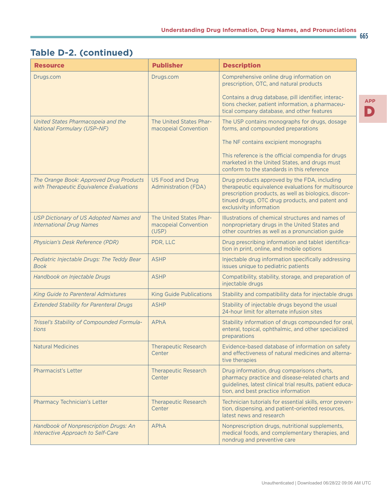| <b>Resource</b>                                                                     | <b>Publisher</b>                                         | <b>Description</b>                                                                                                                                                                                                                        |
|-------------------------------------------------------------------------------------|----------------------------------------------------------|-------------------------------------------------------------------------------------------------------------------------------------------------------------------------------------------------------------------------------------------|
| Drugs.com                                                                           | Drugs.com                                                | Comprehensive online drug information on<br>prescription, OTC, and natural products                                                                                                                                                       |
|                                                                                     |                                                          | Contains a drug database, pill identifier, interac-<br>tions checker, patient information, a pharmaceu-<br>tical company database, and other features                                                                                     |
| United States Pharmacopeia and the<br><b>National Formulary (USP-NF)</b>            | The United States Phar-<br>macopeial Convention          | The USP contains monographs for drugs, dosage<br>forms, and compounded preparations                                                                                                                                                       |
|                                                                                     |                                                          | The NF contains excipient monographs                                                                                                                                                                                                      |
|                                                                                     |                                                          | This reference is the official compendia for drugs<br>marketed in the United States, and drugs must<br>conform to the standards in this reference                                                                                         |
| The Orange Book: Approved Drug Products<br>with Therapeutic Equivalence Evaluations | <b>US Food and Drug</b><br><b>Administration (FDA)</b>   | Drug products approved by the FDA, including<br>therapeutic equivalence evaluations for multisource<br>prescription products, as well as biologics, discon-<br>tinued drugs, OTC drug products, and patent and<br>exclusivity information |
| <b>USP Dictionary of US Adopted Names and</b><br><b>International Drug Names</b>    | The United States Phar-<br>macopeial Convention<br>(USP) | Illustrations of chemical structures and names of<br>nonproprietary drugs in the United States and<br>other countries as well as a pronunciation guide                                                                                    |
| Physician's Desk Reference (PDR)                                                    | PDR, LLC                                                 | Drug prescribing information and tablet identifica-<br>tion in print, online, and mobile options                                                                                                                                          |
| Pediatric Injectable Drugs: The Teddy Bear<br><b>Book</b>                           | <b>ASHP</b>                                              | Injectable drug information specifically addressing<br>issues unique to pediatric patients                                                                                                                                                |
| Handbook on Injectable Drugs                                                        | <b>ASHP</b>                                              | Compatibility, stability, storage, and preparation of<br>injectable drugs                                                                                                                                                                 |
| <b>King Guide to Parenteral Admixtures</b>                                          | <b>King Guide Publications</b>                           | Stability and compatibility data for injectable drugs                                                                                                                                                                                     |
| <b>Extended Stability for Parenteral Drugs</b>                                      | <b>ASHP</b>                                              | Stability of injectable drugs beyond the usual<br>24-hour limit for alternate infusion sites                                                                                                                                              |
| Trissel's Stability of Compounded Formula-<br>tions                                 | <b>APhA</b>                                              | Stability information of drugs compounded for oral,<br>enteral, topical, ophthalmic, and other specialized<br>preparations                                                                                                                |
| <b>Natural Medicines</b>                                                            | <b>Therapeutic Research</b><br>Center                    | Evidence-based database of information on safety<br>and effectiveness of natural medicines and alterna-<br>tive therapies                                                                                                                 |
| <b>Pharmacist's Letter</b>                                                          | <b>Therapeutic Research</b><br>Center                    | Drug information, drug comparisons charts,<br>pharmacy practice and disease-related charts and<br>guidelines, latest clinical trial results, patient educa-<br>tion, and best practice information                                        |
| Pharmacy Technician's Letter                                                        | <b>Therapeutic Research</b><br>Center                    | Technician tutorials for essential skills, error preven-<br>tion, dispensing, and patient-oriented resources,<br>latest news and research                                                                                                 |
| Handbook of Nonprescription Drugs: An<br>Interactive Approach to Self-Care          | APhA                                                     | Nonprescription drugs, nutritional supplements,<br>medical foods, and complementary therapies, and<br>nondrug and preventive care                                                                                                         |

**665**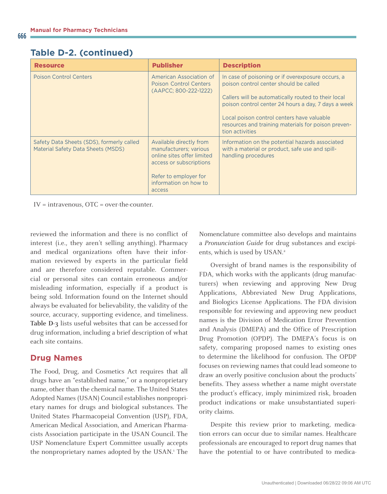| <b>Resource</b>                                                                 | <b>Publisher</b>                                                                                           | <b>Description</b>                                                                                                        |
|---------------------------------------------------------------------------------|------------------------------------------------------------------------------------------------------------|---------------------------------------------------------------------------------------------------------------------------|
| <b>Poison Control Centers</b>                                                   | American Association of<br><b>Poison Control Centers</b><br>(AAPCC; 800-222-1222)                          | In case of poisoning or if overexposure occurs, a<br>poison control center should be called                               |
|                                                                                 |                                                                                                            | Callers will be automatically routed to their local<br>poison control center 24 hours a day, 7 days a week                |
|                                                                                 |                                                                                                            | Local poison control centers have valuable<br>resources and training materials for poison preven-<br>tion activities      |
| Safety Data Sheets (SDS), formerly called<br>Material Safety Data Sheets (MSDS) | Available directly from<br>manufacturers; various<br>online sites offer limited<br>access or subscriptions | Information on the potential hazards associated<br>with a material or product, safe use and spill-<br>handling procedures |
|                                                                                 | Refer to employer for<br>information on how to<br>access                                                   |                                                                                                                           |

IV = intravenous, OTC = over-the-counter.

reviewed the information and there is no conflict of interest (i.e., they aren't selling anything). Pharmacy and medical organizations often have their information reviewed by experts in the particular field and are therefore considered reputable. Commercial or personal sites can contain erroneous and/or misleading information, especially if a product is being sold. Information found on the Internet should always be evaluated for believability, the validity of the source, accuracy, supporting evidence, and timeliness. **Table D-3** lists useful websites that can be accessed for drug information, including a brief description of what each site contains.

#### **Drug Names**

The Food, Drug, and Cosmetics Act requires that all drugs have an "established name," or a nonproprietary name, other than the chemical name. The United States Adopted Names (USAN) Council establishes nonproprietary names for drugs and biological substances. The United States Pharmacopeial Convention (USP), FDA, American Medical Association, and American Pharmacists Association participate in the USAN Council. The USP Nomenclature Expert Committee usually accepts the nonproprietary names adopted by the USAN.<sup>1</sup> The Nomenclature committee also develops and maintains a *Pronunciation Guide* for drug substances and excipients, which is used by USAN.<sup>2</sup>

Oversight of brand names is the responsibility of FDA, which works with the applicants (drug manufacturers) when reviewing and approving New Drug Applications, Abbreviated New Drug Applications, and Biologics License Applications. The FDA division responsible for reviewing and approving new product names is the Division of Medication Error Prevention and Analysis (DMEPA) and the Office of Prescription Drug Promotion (OPDP). The DMEPA's focus is on safety, comparing proposed names to existing ones to determine the likelihood for confusion. The OPDP focuses on reviewing names that could lead someone to draw an overly positive conclusion about the products' benefits. They assess whether a name might overstate the product's efficacy, imply minimized risk, broaden product indications or make unsubstantiated superiority claims.

Despite this review prior to marketing, medication errors can occur due to similar names. Healthcare professionals are encouraged to report drug names that have the potential to or have contributed to medica-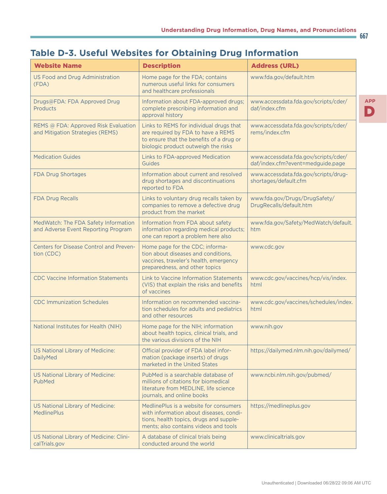# **Table D-3. Useful Websites for Obtaining Drug Information**

| <b>Website Name</b>                                                         | <b>Description</b>                                                                                                                                                    | <b>Address (URL)</b>                                                      |
|-----------------------------------------------------------------------------|-----------------------------------------------------------------------------------------------------------------------------------------------------------------------|---------------------------------------------------------------------------|
| <b>US Food and Drug Administration</b><br>(FDA)                             | Home page for the FDA; contains<br>numerous useful links for consumers<br>and healthcare professionals                                                                | www.fda.gov/default.htm                                                   |
| Drugs@FDA: FDA Approved Drug<br><b>Products</b>                             | Information about FDA-approved drugs;<br>complete prescribing information and<br>approval history                                                                     | www.accessdata.fda.gov/scripts/cder/<br>daf/index.cfm                     |
| REMS @ FDA: Approved Risk Evaluation<br>and Mitigation Strategies (REMS)    | Links to REMS for individual drugs that<br>are required by FDA to have a REMS<br>to ensure that the benefits of a drug or<br>biologic product outweigh the risks      | www.accessdata.fda.gov/scripts/cder/<br>rems/index.cfm                    |
| <b>Medication Guides</b>                                                    | Links to FDA-approved Medication<br>Guides                                                                                                                            | www.accessdata.fda.gov/scripts/cder/<br>daf/index.cfm?event=medguide.page |
| <b>FDA Drug Shortages</b>                                                   | Information about current and resolved<br>drug shortages and discontinuations<br>reported to FDA                                                                      | www.accessdata.fda.gov/scripts/drug-<br>shortages/default.cfm             |
| <b>FDA Drug Recalls</b>                                                     | Links to voluntary drug recalls taken by<br>companies to remove a defective drug<br>product from the market                                                           | www.fda.gov/Drugs/DrugSafety/<br>DrugRecalls/default.htm                  |
| MedWatch: The FDA Safety Information<br>and Adverse Event Reporting Program | Information from FDA about safety<br>information regarding medical products;<br>one can report a problem here also                                                    | www.fda.gov/Safety/MedWatch/default.<br>htm                               |
| Centers for Disease Control and Preven-<br>tion (CDC)                       | Home page for the CDC; informa-<br>tion about diseases and conditions,<br>vaccines, traveler's health, emergency<br>preparedness, and other topics                    | www.cdc.gov                                                               |
| <b>CDC Vaccine Information Statements</b>                                   | Link to Vaccine Information Statements<br>(VIS) that explain the risks and benefits<br>of vaccines                                                                    | www.cdc.gov/vaccines/hcp/vis/index.<br>html                               |
| <b>CDC Immunization Schedules</b>                                           | Information on recommended vaccina-<br>tion schedules for adults and pediatrics<br>and other resources                                                                | www.cdc.gov/vaccines/schedules/index.<br>html                             |
| National Institutes for Health (NIH)                                        | Home page for the NIH; information<br>about health topics, clinical trials, and<br>the various divisions of the NIH                                                   | www.nih.gov                                                               |
| <b>US National Library of Medicine:</b><br><b>DailyMed</b>                  | Official provider of FDA label infor-<br>mation (package inserts) of drugs<br>marketed in the United States                                                           | https://dailymed.nlm.nih.gov/dailymed/                                    |
| <b>US National Library of Medicine:</b><br>PubMed                           | PubMed is a searchable database of<br>millions of citations for biomedical<br>literature from MEDLINE, life science<br>journals, and online books                     | www.ncbi.nlm.nih.gov/pubmed/                                              |
| <b>US National Library of Medicine:</b><br><b>MedlinePlus</b>               | MedlinePlus is a website for consumers<br>with information about diseases, condi-<br>tions, health topics, drugs and supple-<br>ments; also contains videos and tools | https://medlineplus.gov                                                   |
| US National Library of Medicine: Clini-<br>calTrials.gov                    | A database of clinical trials being<br>conducted around the world                                                                                                     | www.clinicaltrials.gov                                                    |

**667**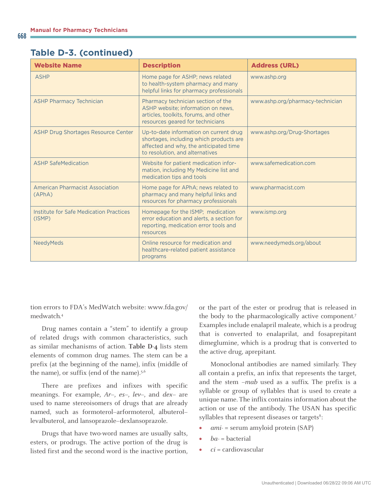| <b>Website Name</b>                               | <b>Description</b>                                                                                                                                             | <b>Address (URL)</b>             |
|---------------------------------------------------|----------------------------------------------------------------------------------------------------------------------------------------------------------------|----------------------------------|
| <b>ASHP</b>                                       | Home page for ASHP; news related<br>to health-system pharmacy and many<br>helpful links for pharmacy professionals                                             | www.ashp.org                     |
| <b>ASHP Pharmacy Technician</b>                   | Pharmacy technician section of the<br>ASHP website; information on news,<br>articles, toolkits, forums, and other<br>resources geared for technicians          | www.ashp.org/pharmacy-technician |
| <b>ASHP Drug Shortages Resource Center</b>        | Up-to-date information on current drug<br>shortages, including which products are<br>affected and why, the anticipated time<br>to resolution, and alternatives | www.ashp.org/Drug-Shortages      |
| <b>ASHP SafeMedication</b>                        | Website for patient medication infor-<br>mation, including My Medicine list and<br>medication tips and tools                                                   | www.safemedication.com           |
| <b>American Pharmacist Association</b><br>(APhA)  | Home page for APhA; news related to<br>pharmacy and many helpful links and<br>resources for pharmacy professionals                                             | www.pharmacist.com               |
| Institute for Safe Medication Practices<br>(ISMP) | Homepage for the ISMP; medication<br>error education and alerts, a section for<br>reporting, medication error tools and<br>resources                           | www.ismp.org                     |
| <b>NeedvMeds</b>                                  | Online resource for medication and<br>healthcare-related patient assistance<br>programs                                                                        | www.needymeds.org/about          |

tion errors to FDA's MedWatch website: www.fda.gov/ medwatch.4

Drug names contain a "stem" to identify a group of related drugs with common characteristics, such as similar mechanisms of action. **Table D-4** lists stem elements of common drug names. The stem can be a prefix (at the beginning of the name), infix (middle of the name), or suffix (end of the name).<sup>5,6</sup>

There are prefixes and infixes with specific meanings. For example, *Ar–*, *es–*, *lev–*, and *dex–* are used to name stereoisomers of drugs that are already named, such as formoterol–arformoterol, albuterol– levalbuterol, and lansoprazole–dexlansoprazole.

Drugs that have two-word names are usually salts, esters, or prodrugs. The active portion of the drug is listed first and the second word is the inactive portion, or the part of the ester or prodrug that is released in the body to the pharmacologically active component.<sup>7</sup> Examples include enalapril maleate, which is a prodrug that is converted to enalaprilat, and fosaprepitant dimeglumine, which is a prodrug that is converted to the active drug, aprepitant.

Monoclonal antibodies are named similarly. They all contain a prefix, an infix that represents the target, and the stem *–mab* used as a suffix. The prefix is a syllable or group of syllables that is used to create a unique name. The inflix contains information about the action or use of the antibody. The USAN has specific syllables that represent diseases or targets<sup>8</sup>:

- *ami-* = serum amyloid protein (SAP)
- *ba-* = bacterial
- *ci* = cardiovascular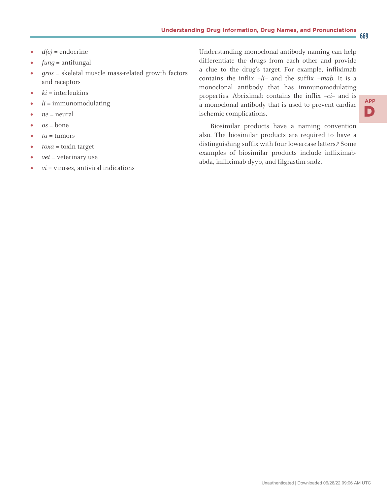- $d(e)$  = endocrine
- *fung* = antifungal
- *gros* = skeletal muscle mass-related growth factors and receptors
- *ki* = interleukins
- $li = \text{immunomodulating}$
- $\bullet$  *ne* = neural
- *os* = bone
- $ta =$  tumors
- $toxa =$  toxin target
- *vet* = veterinary use
- $vi = viruses$ , antiviral indications

Understanding monoclonal antibody naming can help differentiate the drugs from each other and provide a clue to the drug's target. For example, infliximab contains the inflix *–li–* and the suffix *–mab*. It is a monoclonal antibody that has immunomodulating properties. Abciximab contains the inflix *–ci–* and is a monoclonal antibody that is used to prevent cardiac ischemic complications.

Biosimilar products have a naming convention also. The biosimilar products are required to have a distinguishing suffix with four lowercase letters.9 Some examples of biosimilar products include infliximababda, infliximab-dyyb, and filgrastim-sndz.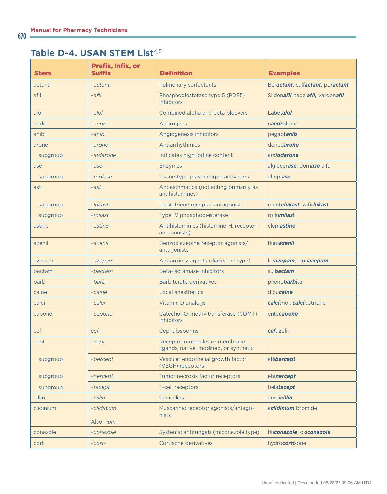### Table D-4. USAN STEM List<sup>4,5</sup>

| <b>Stem</b>   | Prefix, Infix, or<br><b>Suffix</b> | <b>Definition</b>                                                         | <b>Examples</b>                   |
|---------------|------------------------------------|---------------------------------------------------------------------------|-----------------------------------|
| actant        | -actant                            | Pulmonary surfactants                                                     | Beractant, calfactant, poractant  |
| afil          | $-afil$                            | Phosphodiesterase type 5 (PDE5)<br>inhibitors                             | Sildenafil, tadalafil, vardenafil |
| alol          | $-alol$                            | Combined alpha and beta blockers                                          | Labetalol                         |
| andr          | $-andr-$                           | Androgens                                                                 | nandrolone                        |
| anib          | $-anib$                            | Angiogenesis inhibitors                                                   | pegaptanib                        |
| arone         | -arone                             | Antiarrhythmics                                                           | donedarone                        |
| subgroup      | -jodarone                          | Indicates high iodine content                                             | amiodarone                        |
| ase           | $-ase$                             | <b>Enzymes</b>                                                            | alglucerase, dornase alfa         |
| subgroup      | -teplase                           | Tissue-type plasminogen activators                                        | alteplase                         |
| ast           | $-ast$                             | Antiasthmatics (not acting primarily as<br>antihistamines)                |                                   |
| subgroup      | $-lukast$                          | Leukotriene receptor antagonist                                           | montelukast, zafirlukast          |
| subgroup      | -milast                            | Type IV phosphodiesterase                                                 | roflumilast                       |
| astine        | -astine                            | Antihistaminics (histamine-H, receptor<br>antagonists)                    | clemastine                        |
| azenil        | -azenil                            | Benzodiazepine receptor agonists/<br>antagonists                          | flumazenil                        |
| azepam        | -azepam                            | Antianxiety agents (diazepam type)                                        | lorazepam, clonazepam             |
| bactam        | -bactam                            | Beta-lactamase inhibitors                                                 | sulbactam                         |
| barb          | $-barb-$                           | <b>Barbiturate derivatives</b>                                            | phenobarbital                     |
| caine         | $-caine$                           | Local anesthetics                                                         | dibucaine                         |
| calci         | $-calc$                            | Vitamin D analogs                                                         | calcitriol, calcipotriene         |
| capone        | -capone                            | Catechol-O-methyltransferase (COMT)<br>inhibitors                         | entecapone                        |
| cef           | $cef-$                             | Cephalosporins                                                            | cefazolin                         |
| cept          | $-cept$                            | Receptor molecules or membrane<br>ligands, native, modified, or synthetic |                                   |
| subgroup      | -bercept                           | Vascular endothelial growth factor<br>(VEGF) receptors                    | aflibercept                       |
| subgroup      | -nercept                           | Tumor necrosis factor receptors                                           | etanercept                        |
| subgroup      | $-tacept$                          | T-cell receptors                                                          | belatacept                        |
| <b>cillin</b> | $-cillin$                          | <b>Penicillins</b>                                                        | ampicillin                        |
| clidinium     | -clidinium                         | Muscarinic receptor agonists/antago-                                      | aclidinium bromide                |
|               | Also -ium                          | nists                                                                     |                                   |
| conazole      | -conazole                          | Systemic antifungals (miconazole type)                                    | fluconazole, oxiconazole          |
| cort          | $-cort-$                           | Cortisone derivatives                                                     | hydrocortisone                    |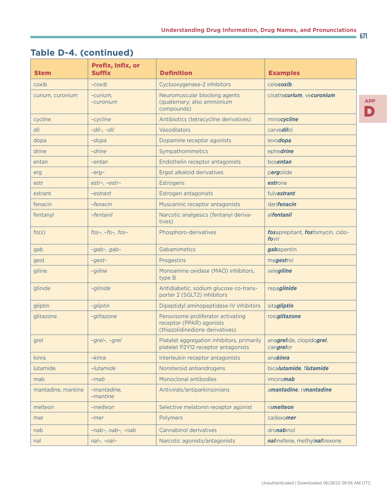| <b>Stem</b>        | Prefix, Infix, or<br><b>Suffix</b> | <b>Definition</b>                                                                                            | <b>Examples</b>                              |
|--------------------|------------------------------------|--------------------------------------------------------------------------------------------------------------|----------------------------------------------|
| coxib              | $-coxib$                           | Cyclooxygenase-2 inhibitors                                                                                  | celecoxib                                    |
| curium, curonium   | -curium.<br>-curonium              | Neuromuscular blocking agents<br>(quaternary; also ammonium<br>compounds)                                    | cisatracurium, vecuronium                    |
| cycline            | -cycline                           | Antibiotics (tetracycline derivatives)                                                                       | minocycline                                  |
| dil                | $-dil$ -, $-dil$                   | Vasodilators                                                                                                 | carvedilol                                   |
| dopa               | $-dopa$                            | Dopamine receptor agonists                                                                                   | levodopa                                     |
| drine              | -drine                             | Sympathomimetics                                                                                             | ephedrine                                    |
| entan              | -entan                             | Endothelin receptor antagonists                                                                              | bosentan                                     |
| erg                | $-erg-$                            | Ergot alkaloid derivatives                                                                                   | pergolide                                    |
| estr               | estr-, -estr-                      | Estrogens                                                                                                    | estrone                                      |
| estrant            | -estrant                           | Estrogen antagonists                                                                                         | fulvestrant                                  |
| fenacin            | -fenacin                           | Muscarinic receptor antagonists                                                                              | darifenacin                                  |
| fentanyl           | -fentanil                          | Narcotic analgesics (fentanyl deriva-<br>tives)                                                              | alfentanil                                   |
| f <sub>O</sub> (s) | $f$ os-, - $f$ o-, $f$ os-         | Phosphoro-derivatives                                                                                        | fosaprepitant, fosfomycin, cido-<br>$f$ ovir |
| gab                | -gab-, gab-                        | Gabamimetics                                                                                                 | gabapentin                                   |
| gest               | $-gest-$                           | Progestins                                                                                                   | megestrol                                    |
| giline             | -giline                            | Monoamine oxidase (MAO) inhibitors,<br>type B                                                                | selegiline                                   |
| glinide            | -glinide                           | Antidiabetic, sodium glucose co-trans-<br>porter 2 (SGLT2) inhibitors                                        | repaglinide                                  |
| gliptin            | -gliptin                           | Dipeptidyl aminopeptidase-IV inhibitors                                                                      | sitagliptin                                  |
| glitazone          | -glitazone                         | Peroxisome proliferator activating<br>receptor (PPAR) agonists<br>(thiazolidinedione derivatives)            | rosiglitazone                                |
| grel               | -grel-, -grel                      | Platelet aggregation inhibitors, primarily   anagrelide, clopidogrel,<br>platelet P2Y12 receptor antagonists | cangrelor                                    |
| kinra              | -kinra                             | Interleukin receptor antagonists                                                                             | anakinra                                     |
| lutamide           | -lutamide                          | Nonsteroid antiandrogens                                                                                     | bicalutamide, flutamide                      |
| mab                | $-mab$                             | Monoclonal antibodies                                                                                        | <i>imciromab</i>                             |
| mantadine, mantine | -mantadine,<br>-mantine            | Antivirals/antiparkinsonians                                                                                 | amantadine, rimantadine                      |
| melteon            | -melteon                           | Selective melatonin receptor agonist                                                                         | ramelteon                                    |
| mer                | $-mer$                             | Polymers                                                                                                     | cadexomer                                    |
| nab                | $-nab$ -, $nab$ -, $-nab$          | <b>Cannabinol derivatives</b>                                                                                | dronabinol                                   |
| nal                | nal-, -nal-                        | Narcotic agonists/antagonists                                                                                | nalmefene, methylnaltrexone                  |

 $\equiv$  671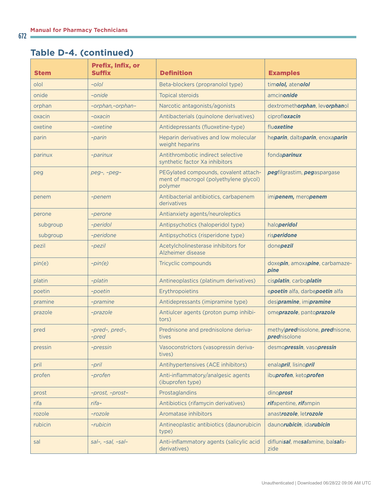| <b>Stem</b> | Prefix, Infix, or<br><b>Suffix</b> | <b>Definition</b>                                                                          | <b>Examples</b>                                 |
|-------------|------------------------------------|--------------------------------------------------------------------------------------------|-------------------------------------------------|
| olol        | $-$ olol                           | Beta-blockers (propranolol type)                                                           | timolol, atenolol                               |
| onide       | -onide                             | <b>Topical steroids</b>                                                                    | amcinonide                                      |
| orphan      | -orphan,-orphan-                   | Narcotic antagonists/agonists                                                              | dextromethorphan, levorphanol                   |
| oxacin      | $-oxacin$                          | Antibacterials (quinolone derivatives)                                                     | ciprofloxacin                                   |
| oxetine     | -oxetine                           | Antidepressants (fluoxetine-type)                                                          | fluoxetine                                      |
| parin       | -parin                             | Heparin derivatives and low molecular<br>weight heparins                                   | heparin, dalteparin, enoxaparin                 |
| parinux     | -parinux                           | Antithrombotic indirect selective<br>synthetic factor Xa inhibitors                        | fondaparinux                                    |
| peg         | peg-, -peg-                        | PEGylated compounds, covalent attach-<br>ment of macrogol (polyethylene glycol)<br>polymer | pegfilgrastim, pegaspargase                     |
| penem       | -penem                             | Antibacterial antibiotics, carbapenem<br>derivatives                                       | imipenem, meropenem                             |
| perone      | -perone                            | Antianxiety agents/neuroleptics                                                            |                                                 |
| subgroup    | -peridol                           | Antipsychotics (haloperidol type)                                                          | haloperidol                                     |
| subgroup    | -peridone                          | Antipsychotics (risperidone type)                                                          | risperidone                                     |
| pezil       | -pezil                             | Acetylcholinesterase inhibitors for<br>Alzheimer disease                                   | donepezil                                       |
| pin(e)      | $-pin(e)$                          | Tricyclic compounds                                                                        | doxepin, amoxapine, carbamaze-<br>pine          |
| platin      | -platin                            | Antineoplastics (platinum derivatives)                                                     | cisplatin, carboplatin                          |
| poetin      | -poetin                            | Erythropoietins                                                                            | epoetin alfa, darbepoetin alfa                  |
| pramine     | -pramine                           | Antidepressants (imipramine type)                                                          | desipramine, imipramine                         |
| prazole     | -prazole                           | Antiulcer agents (proton pump inhibi-<br>tors)                                             | omeprazole, pantoprazole                        |
| pred        | -pred-, pred-,<br>-pred            | Prednisone and prednisolone deriva-<br>tives                                               | methylprednisolone, prednisone,<br>prednisolone |
| pressin     | -pressin                           | Vasoconstrictors (vasopressin deriva-<br>tives)                                            | desmopressin, vasopressin                       |
| pril        | -pril                              | Antihypertensives (ACE inhibitors)                                                         | enalapril, lisinopril                           |
| profen      | -profen                            | Anti-inflammatory/analgesic agents<br>(ibuprofen type)                                     | ibuprofen, ketoprofen                           |
| prost       | -prost, -prost-                    | Prostaglandins                                                                             | dinoprost                                       |
| rifa        | $rifa-$                            | Antibiotics (rifamycin derivatives)                                                        | rifapentine, rifampin                           |
| rozole      | -rozole                            | Aromatase inhibitors                                                                       | anastrozole, letrozole                          |
| rubicin     | -rubicin                           | Antineoplastic antibiotics (daunorubicin<br>type)                                          | daunorubicin, idarubicin                        |
| sal         | sal-, -sal, -sal-                  | Anti-inflammatory agents (salicylic acid<br>derivatives)                                   | diflunisal, mesalamine, balsala-<br>zide        |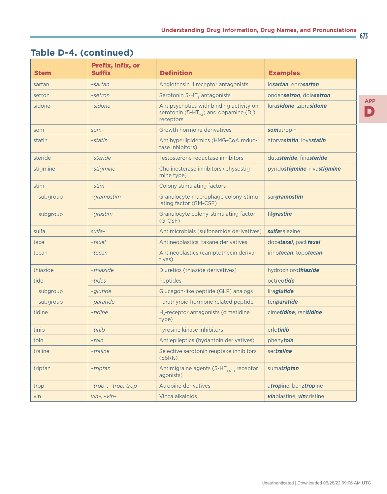| <b>Stem</b> | Prefix, Infix, or<br><b>Suffix</b> | <b>Definition</b>                                                                                                      | <b>Examples</b>              |
|-------------|------------------------------------|------------------------------------------------------------------------------------------------------------------------|------------------------------|
| sartan      | -sartan                            | Angiotensin II receptor antagonists                                                                                    | losartan, eprosartan         |
| setron      | -setron                            | Serotonin 5-HT <sub>z</sub> antagonists                                                                                | ondansetron, dolasetron      |
| sidone      | -sidone                            | Antipsychotics with binding activity on<br>serotonin (5-HT <sub>24</sub> ) and dopamine (D <sub>2</sub> )<br>receptors | lurasidone, ziprasidone      |
| som         | $SOM-$                             | Growth hormone derivatives                                                                                             | somatropin                   |
| statin      | -statin                            | Antihyperlipidemics (HMG-CoA reduc-<br>tase inhibitors)                                                                | atorvastatin, lovastatin     |
| steride     | -steride                           | Testosterone reductase inhibitors                                                                                      | dutasteride, finasteride     |
| stigmine    | -stigmine                          | Cholinesterase inhibitors (physostig-<br>mine type)                                                                    | pyridostigmine, rivastigmine |
| stim        | $-stim$                            | Colony stimulating factors                                                                                             |                              |
| subgroup    | -gramostim                         | Granulocyte macrophage colony-stimu-<br>lating factor (GM-CSF)                                                         | sargramostim                 |
| subgroup    | -grastim                           | Granulocyte colony-stimulating factor<br>$(G-CSF)$                                                                     | filgrastim                   |
| sulfa       | sulfa-                             | Antimicrobials (sulfonamide derivatives)                                                                               | sulfasalazine                |
| taxel       | -taxel                             | Antineoplastics, taxane derivatives                                                                                    | docetaxel, paclitaxel        |
| tecan       | -tecan                             | Antineoplastics (camptothecin deriva-<br>tives)                                                                        | irinotecan, topotecan        |
| thiazide    | -thiazide                          | Diuretics (thiazide derivatives)                                                                                       | hydrochlorothiazide          |
| tide        | -tides                             | Peptides                                                                                                               | octreotide                   |
| subgroup    | -glutide                           | Glucagon-like peptide (GLP) analogs                                                                                    | liraglutide                  |
| subgroup    | -paratide                          | Parathyroid hormone related peptide                                                                                    | teriparatide                 |
| tidine      | -tidine                            | H <sub>2</sub> -receptor antagonists (cimetidine<br>type)                                                              | cimetidine, ranitidine       |
| tinib       | -tinib                             | Tyrosine kinase inhibitors                                                                                             | erlotinib                    |
| toin        | -toin                              | Antiepileptics (hydantoin derivatives)                                                                                 | phenytoin                    |
| traline     | -traline                           | Selective serotonin reuptake inhibitors<br>(SSRIs)                                                                     | sertraline                   |
| triptan     | -triptan                           | Antimigraine agents (5-HT <sub>IB/ID</sub> receptor<br>agonists)                                                       | sumatriptan                  |
| trop        | -trop-, -trop, trop-               | Atropine derivatives                                                                                                   | atropine, benztropine        |
| vin         | $vin-, -vin-$                      | Vinca alkaloids                                                                                                        | vinblastine, vincristine     |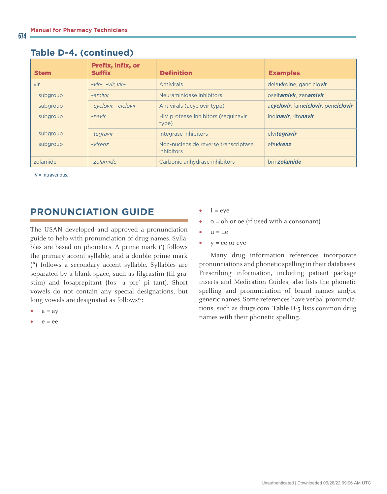| <b>Stem</b> | Prefix, Infix, or<br><b>Suffix</b> | <b>Definition</b>                                  | <b>Examples</b>                     |
|-------------|------------------------------------|----------------------------------------------------|-------------------------------------|
| <b>vir</b>  | $-vir-$ , $-vir$ , $vir-$          | <b>Antivirals</b>                                  | delavirdine, ganciclovir            |
| subgroup    | $-amivir$                          | Neuraminidase inhibitors                           | oseltamivir, zanamivir              |
| subgroup    | -cyclovir, -ciclovir               | Antivirals (acyclovir type)                        | acyclovir, famciclovir, penciclovir |
| subgroup    | <i>-navir</i>                      | HIV protease inhibitors (saquinavir<br>type)       | indinavir, ritonavir                |
| subgroup    | -tegravir                          | Integrase inhibitors                               | elvitegravir                        |
| subgroup    | <i><u>-virenz</u></i>              | Non-nucleoside reverse transcriptase<br>inhibitors | efavirenz                           |
| zolamide    | -zolamide                          | Carbonic anhydrase inhibitors                      | brinzolamide                        |

IV = intravenous.

## **PRONUNCIATION GUIDE**

The USAN developed and approved a pronunciation guide to help with pronunciation of drug names. Syllables are based on phonetics. A prime mark (**'**) follows the primary accent syllable, and a double prime mark (**"**) follows a secondary accent syllable. Syllables are separated by a blank space, such as filgrastim (fil gra' stim) and fosaprepitant (fos" a pre' pi tant). Short vowels do not contain any special designations, but long vowels are designated as follows<sup>10</sup>:

- $a = av$
- $e = ee$
- $I = eye$
- $\bullet$  o = oh or oe (if used with a consonant)
- $u = ue$
- $y = ee$  or  $eye$

Many drug information references incorporate pronunciations and phonetic spelling in their databases. Prescribing information, including patient package inserts and Medication Guides, also lists the phonetic spelling and pronunciation of brand names and/or generic names. Some references have verbal pronunciations, such as drugs.com. **Table D-5** lists common drug names with their phonetic spelling.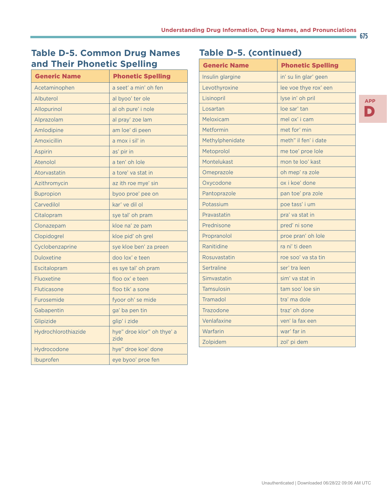### **Table D-5. Common Drug Names and Their Phonetic Spelling**

| <b>Generic Name</b> | <b>Phonetic Spelling</b>           |
|---------------------|------------------------------------|
| Acetaminophen       | a seet' a min' oh fen              |
| Albuterol           | al byoo' ter ole                   |
| Allopurinol         | al oh pure' i nole                 |
| Alprazolam          | al pray' zoe lam                   |
| Amlodipine          | am loe' di peen                    |
| Amoxicillin         | a mox i sil' in                    |
| <b>Aspirin</b>      | as' pir in                         |
| Atenolol            | a ten' oh lole                     |
| Atorvastatin        | a tore' va stat in                 |
| Azithromycin        | az ith roe mye' sin                |
| <b>Bupropion</b>    | byoo proe' pee on                  |
| Carvedilol          | kar' ve dil ol                     |
| Citalopram          | sye tal' oh pram                   |
| Clonazepam          | kloe na' ze pam                    |
| Clopidogrel         | kloe pid' oh grel                  |
| Cyclobenzaprine     | sye kloe ben' za preen             |
| <b>Duloxetine</b>   | doo lox' e teen                    |
| Escitalopram        | es sye tal' oh pram                |
| Fluoxetine          | floo ox' e teen                    |
| Fluticasone         | floo tik' a sone                   |
| Furosemide          | fyoor oh' se mide                  |
| Gabapentin          | ga' ba pen tin                     |
| Glipizide           | glip' i zide                       |
| Hydrochlorothiazide | hye" droe klor" oh thye' a<br>zide |
| Hydrocodone         | hye" droe koe' done                |
| Ibuprofen           | eye byoo' proe fen                 |

# **Table D-5. (continued)**

| <b>Generic Name</b> | <b>Phonetic Spelling</b> |
|---------------------|--------------------------|
| Insulin glargine    | in' su lin glar' geen    |
| Levothyroxine       | lee voe thye rox' een    |
| Lisinopril          | lyse in' oh pril         |
| Losartan            | loe sar' tan             |
| Meloxicam           | mel ox' i cam            |
| Metformin           | met for' min             |
| Methylphenidate     | meth" il fen' i date     |
| Metoprolol          | me toe' proe lole        |
| Montelukast         | mon te loo' kast         |
| Omeprazole          | oh mep' ra zole          |
| Oxycodone           | ox i koe' done           |
| Pantoprazole        | pan toe' pra zole        |
| Potassium           | poe tass' i um           |
| Pravastatin         | pra' va stat in          |
| Prednisone          | pred' ni sone            |
| Propranolol         | proe pran' oh lole       |
| Ranitidine          | ra ni' ti deen           |
| Rosuvastatin        | roe soo' va sta tin      |
| Sertraline          | ser' tra leen            |
| Simvastatin         | sim' va stat in          |
| Tamsulosin          | tam soo' loe sin         |
| <b>Tramadol</b>     | tra' ma dole             |
| Trazodone           | traz' oh done            |
| Venlafaxine         | ven' la fax een          |
| Warfarin            | war' far in              |
| Zolpidem            | zol' pi dem              |